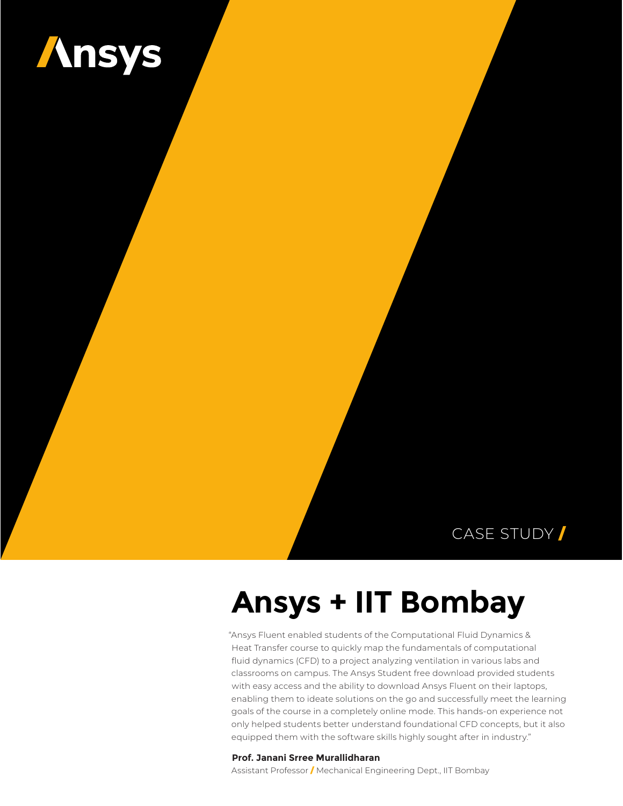

### CASE STUDY /

# **Ansys + IIT Bombay**

"Ansys Fluent enabled students of the Computational Fluid Dynamics & Heat Transfer course to quickly map the fundamentals of computational fluid dynamics (CFD) to a project analyzing ventilation in various labs and classrooms on campus. The Ansys Student free download provided students with easy access and the ability to download Ansys Fluent on their laptops, enabling them to ideate solutions on the go and successfully meet the learning goals of the course in a completely online mode. This hands-on experience not only helped students better understand foundational CFD concepts, but it also equipped them with the software skills highly sought after in industry."

#### **Prof. Janani Srree Murallidharan**

Assistant Professor / Mechanical Engineering Dept., IIT Bombay